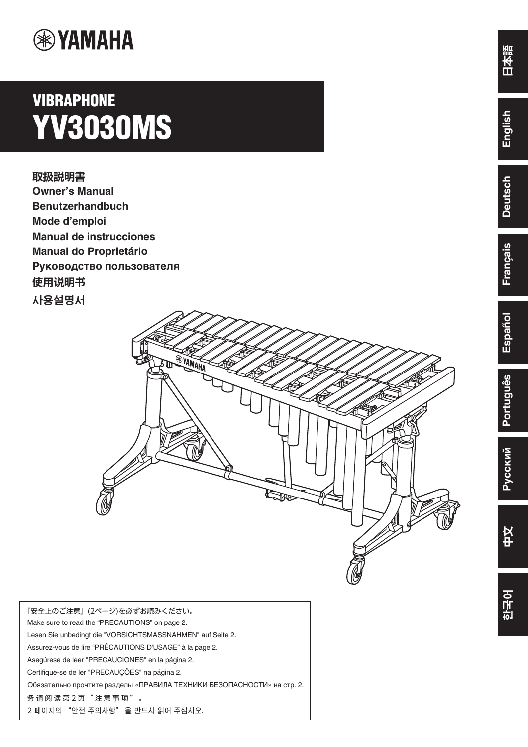

# **VIBRAPHONE YV3030MS**

**取扱説明書 Owner's Manual Benutzerhandbuch Mode d'emploi Manual de instrucciones Manual do Proprietário Руководство пользователя** 使用说明书 사용설명서



| 『安全上のご注意』(2ページ)を必ずお読みください。                                             |
|------------------------------------------------------------------------|
| Make sure to read the "PRECAUTIONS" on page 2.                         |
| Lesen Sie unbedingt die "VORSICHTSMASSNAHMEN" auf Seite 2.             |
| Assurez-vous de lire "PRÉCAUTIONS D'USAGE" à la page 2.                |
| Asegúrese de leer "PRECAUCIONES" en la página 2.                       |
| Certifique-se de ler "PRECAUÇÕES" na página 2.                         |
| Обязательно прочтите разделы «ПРАВИЛА ТЕХНИКИ БЕЗОПАСНОСТИ» на стр. 2. |
| 务请阅读第2页"注意事项"。                                                         |
| 2 페이지의 "안전 주의사항"을 반드시 읽어 주십시오.                                         |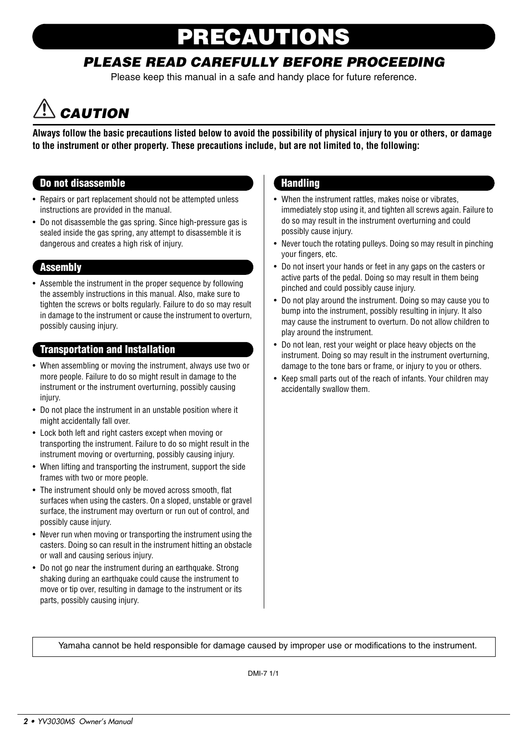# PRECAUTIONS

### PLEASE READ CAREFULLY BEFORE PROCEEDING

Please keep this manual in a safe and handy place for future reference.

# **CAUTION**

**Always follow the basic precautions listed below to avoid the possibility of physical injury to you or others, or damage to the instrument or other property. These precautions include, but are not limited to, the following:**

### Do not disassemble

- Repairs or part replacement should not be attempted unless instructions are provided in the manual.
- Do not disassemble the gas spring. Since high-pressure gas is sealed inside the gas spring, any attempt to disassemble it is dangerous and creates a high risk of injury.

### **Assembly**

• Assemble the instrument in the proper sequence by following the assembly instructions in this manual. Also, make sure to tighten the screws or bolts regularly. Failure to do so may result in damage to the instrument or cause the instrument to overturn, possibly causing injury.

### Transportation and Installation

- When assembling or moving the instrument, always use two or more people. Failure to do so might result in damage to the instrument or the instrument overturning, possibly causing injury.
- Do not place the instrument in an unstable position where it might accidentally fall over.
- Lock both left and right casters except when moving or transporting the instrument. Failure to do so might result in the instrument moving or overturning, possibly causing injury.
- When lifting and transporting the instrument, support the side frames with two or more people.
- The instrument should only be moved across smooth, flat surfaces when using the casters. On a sloped, unstable or gravel surface, the instrument may overturn or run out of control, and possibly cause injury.
- Never run when moving or transporting the instrument using the casters. Doing so can result in the instrument hitting an obstacle or wall and causing serious injury.
- Do not go near the instrument during an earthquake. Strong shaking during an earthquake could cause the instrument to move or tip over, resulting in damage to the instrument or its parts, possibly causing injury.

### **Handling**

- When the instrument rattles, makes noise or vibrates, immediately stop using it, and tighten all screws again. Failure to do so may result in the instrument overturning and could possibly cause injury.
- Never touch the rotating pulleys. Doing so may result in pinching your fingers, etc.
- Do not insert your hands or feet in any gaps on the casters or active parts of the pedal. Doing so may result in them being pinched and could possibly cause injury.
- Do not play around the instrument. Doing so may cause you to bump into the instrument, possibly resulting in injury. It also may cause the instrument to overturn. Do not allow children to play around the instrument.
- Do not lean, rest your weight or place heavy objects on the instrument. Doing so may result in the instrument overturning, damage to the tone bars or frame, or injury to you or others.
- Keep small parts out of the reach of infants. Your children may accidentally swallow them.

Yamaha cannot be held responsible for damage caused by improper use or modifications to the instrument.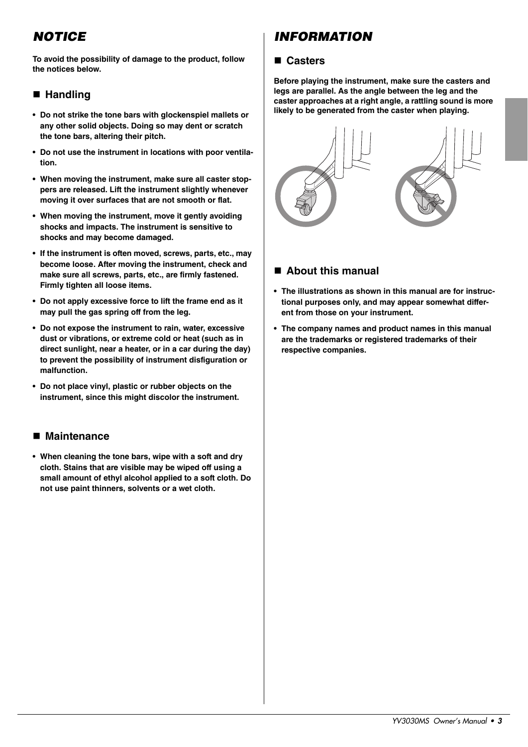### **NOTICE**

**To avoid the possibility of damage to the product, follow the notices below.**

### **Handling**

- **Do not strike the tone bars with glockenspiel mallets or any other solid objects. Doing so may dent or scratch the tone bars, altering their pitch.**
- **Do not use the instrument in locations with poor ventilation.**
- **When moving the instrument, make sure all caster stoppers are released. Lift the instrument slightly whenever moving it over surfaces that are not smooth or flat.**
- **When moving the instrument, move it gently avoiding shocks and impacts. The instrument is sensitive to shocks and may become damaged.**
- **If the instrument is often moved, screws, parts, etc., may become loose. After moving the instrument, check and make sure all screws, parts, etc., are firmly fastened. Firmly tighten all loose items.**
- **Do not apply excessive force to lift the frame end as it may pull the gas spring off from the leg.**
- **Do not expose the instrument to rain, water, excessive dust or vibrations, or extreme cold or heat (such as in direct sunlight, near a heater, or in a car during the day) to prevent the possibility of instrument disfiguration or malfunction.**
- **Do not place vinyl, plastic or rubber objects on the instrument, since this might discolor the instrument.**

### **Maintenance**

**• When cleaning the tone bars, wipe with a soft and dry cloth. Stains that are visible may be wiped off using a small amount of ethyl alcohol applied to a soft cloth. Do not use paint thinners, solvents or a wet cloth.**

### INFORMATION

### **Casters**

**Before playing the instrument, make sure the casters and legs are parallel. As the angle between the leg and the caster approaches at a right angle, a rattling sound is more likely to be generated from the caster when playing.**



### **About this manual**

- **The illustrations as shown in this manual are for instructional purposes only, and may appear somewhat different from those on your instrument.**
- **The company names and product names in this manual are the trademarks or registered trademarks of their respective companies.**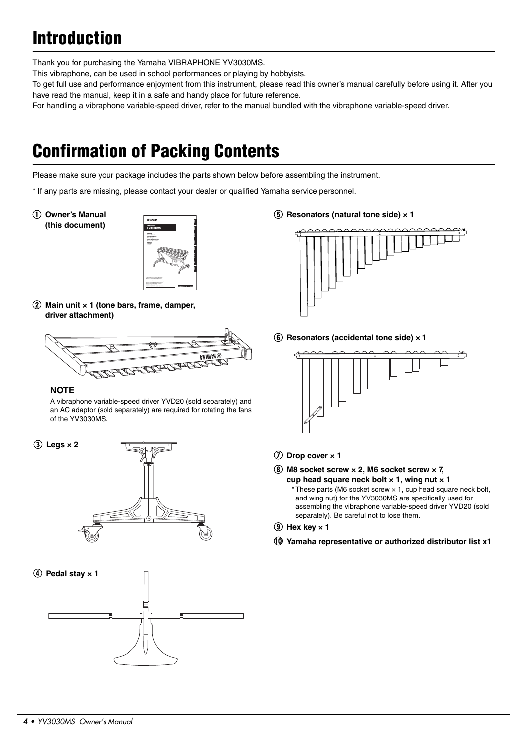# Introduction

Thank you for purchasing the Yamaha VIBRAPHONE YV3030MS.

This vibraphone, can be used in school performances or playing by hobbyists.

To get full use and performance enjoyment from this instrument, please read this owner's manual carefully before using it. After you have read the manual, keep it in a safe and handy place for future reference.

For handling a vibraphone variable-speed driver, refer to the manual bundled with the vibraphone variable-speed driver.

# Confirmation of Packing Contents

Please make sure your package includes the parts shown below before assembling the instrument.

\* If any parts are missing, please contact your dealer or qualified Yamaha service personnel.

q **Owner's Manual (this document)**



w **Main unit × 1 (tone bars, frame, damper, driver attachment)**



### **NOTE**

A vibraphone variable-speed driver YVD20 (sold separately) and an AC adaptor (sold separately) are required for rotating the fans of the YV3030MS.







t **Resonators (natural tone side) × 1**



**6** Resonators (accidental tone side)  $\times$  1



### **(7)** Drop cover  $\times$  1

i **M8 socket screw × 2, M6 socket screw × 7, cup head square neck bolt × 1, wing nut × 1**  $*$  These parts (M6 socket screw  $\times$  1, cup head square neck bolt, and wing nut) for the YV3030MS are specifically used for assembling the vibraphone variable-speed driver YVD20 (sold separately). Be careful not to lose them.

**9** Hex key  $\times$  1

!0**Yamaha representative or authorized distributor list x1**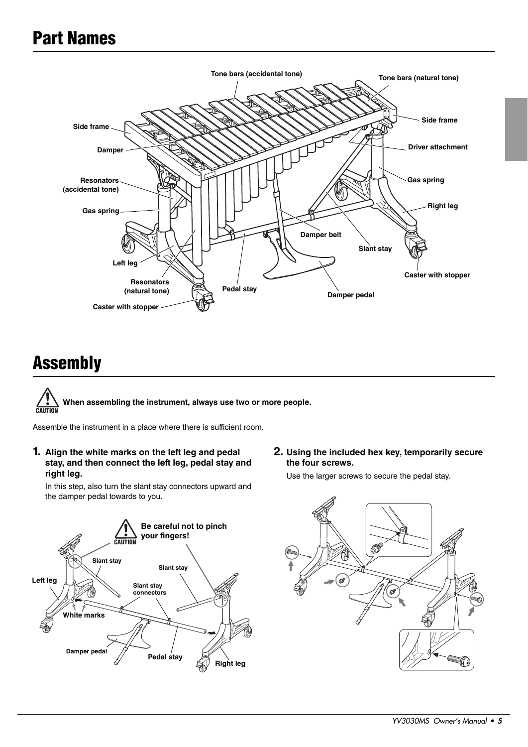## Part Names



## Assembly



Assemble the instrument in a place where there is sufficient room.

**1. Align the white marks on the left leg and pedal stay, and then connect the left leg, pedal stay and right leg.**

In this step, also turn the slant stay connectors upward and the damper pedal towards to you.



**2. Using the included hex key, temporarily secure the four screws.**

Use the larger screws to secure the pedal stay.

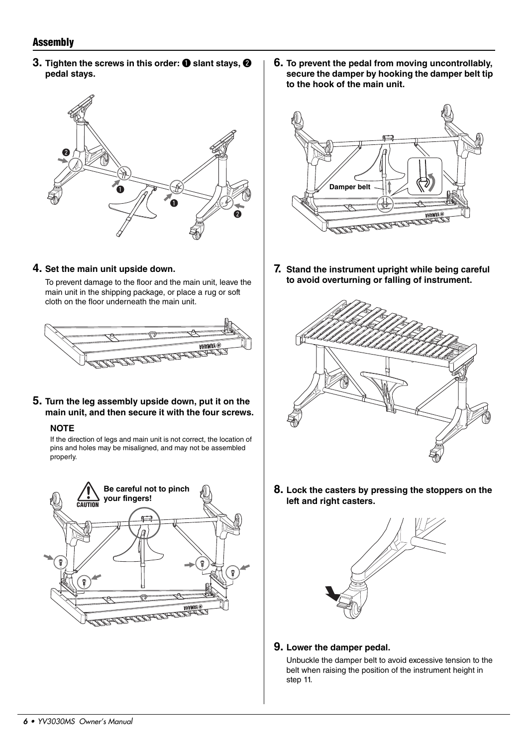### **Assembly**

**3.** Tighten the screws in this order: **O** slant stays, **@ pedal stays.**



**6. To prevent the pedal from moving uncontrollably, secure the damper by hooking the damper belt tip to the hook of the main unit.**



**7. Stand the instrument upright while being careful to avoid overturning or falling of instrument.**



To prevent damage to the floor and the main unit, leave the main unit in the shipping package, or place a rug or soft cloth on the floor underneath the main unit.



**5. Turn the leg assembly upside down, put it on the main unit, and then secure it with the four screws.**

### **NOTE**

If the direction of legs and main unit is not correct, the location of pins and holes may be misaligned, and may not be assembled properly.





**8. Lock the casters by pressing the stoppers on the left and right casters.**



**9. Lower the damper pedal.**

Unbuckle the damper belt to avoid excessive tension to the belt when raising the position of the instrument height in step 11.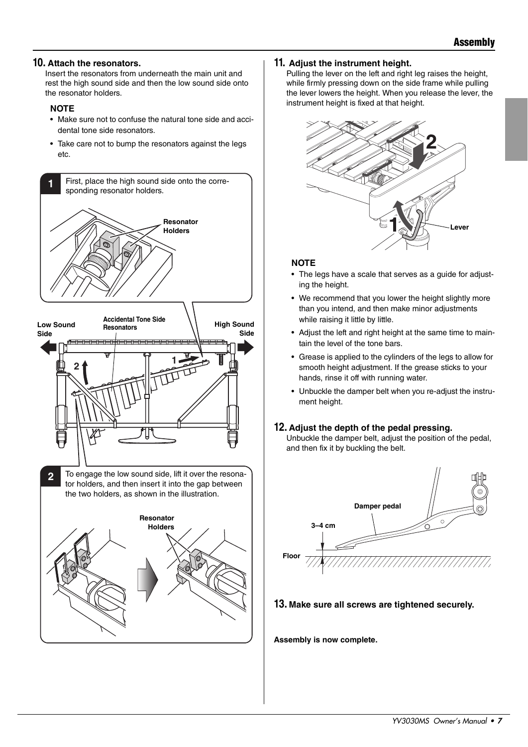### **10. Attach the resonators.**

Insert the resonators from underneath the main unit and rest the high sound side and then the low sound side onto the resonator holders.

#### **NOTE**

- Make sure not to confuse the natural tone side and accidental tone side resonators.
- Take care not to bump the resonators against the legs etc.





**2** To engage the low sound side, lift it over the resonator holders, and then insert it into the gap between the two holders, as shown in the illustration.



### **11. Adjust the instrument height.**

Pulling the lever on the left and right leg raises the height, while firmly pressing down on the side frame while pulling the lever lowers the height. When you release the lever, the instrument height is fixed at that height.



#### **NOTE**

- The legs have a scale that serves as a guide for adjusting the height.
- We recommend that you lower the height slightly more than you intend, and then make minor adjustments while raising it little by little.
- Adjust the left and right height at the same time to maintain the level of the tone bars.
- Grease is applied to the cylinders of the legs to allow for smooth height adjustment. If the grease sticks to your hands, rinse it off with running water.
- Unbuckle the damper belt when you re-adjust the instrument height.

### **12. Adjust the depth of the pedal pressing.**

Unbuckle the damper belt, adjust the position of the pedal, and then fix it by buckling the belt.



### **13. Make sure all screws are tightened securely.**

**Assembly is now complete.**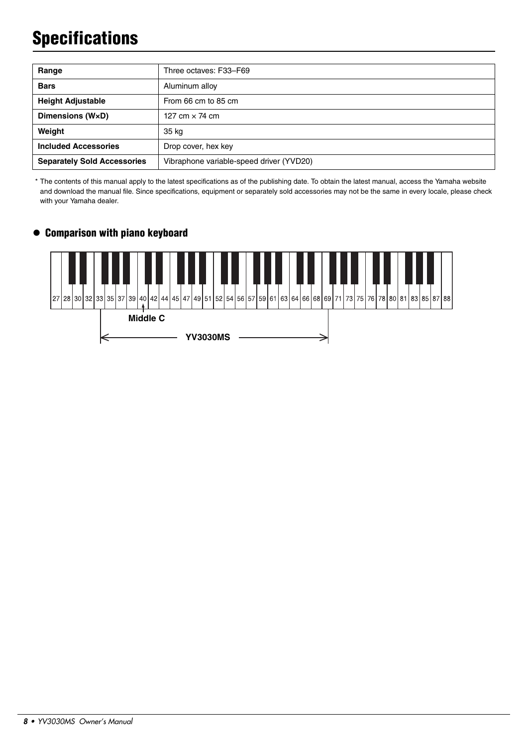# **Specifications**

| Range                              | Three octaves: F33-F69                   |
|------------------------------------|------------------------------------------|
| <b>Bars</b>                        | Aluminum alloy                           |
| <b>Height Adjustable</b>           | From 66 cm to 85 cm                      |
| Dimensions (WxD)                   | 127 cm $\times$ 74 cm                    |
| Weight                             | 35 kg                                    |
| <b>Included Accessories</b>        | Drop cover, hex key                      |
| <b>Separately Sold Accessories</b> | Vibraphone variable-speed driver (YVD20) |

\* The contents of this manual apply to the latest specifications as of the publishing date. To obtain the latest manual, access the Yamaha website and download the manual file. Since specifications, equipment or separately sold accessories may not be the same in every locale, please check with your Yamaha dealer.

### Comparison with piano keyboard

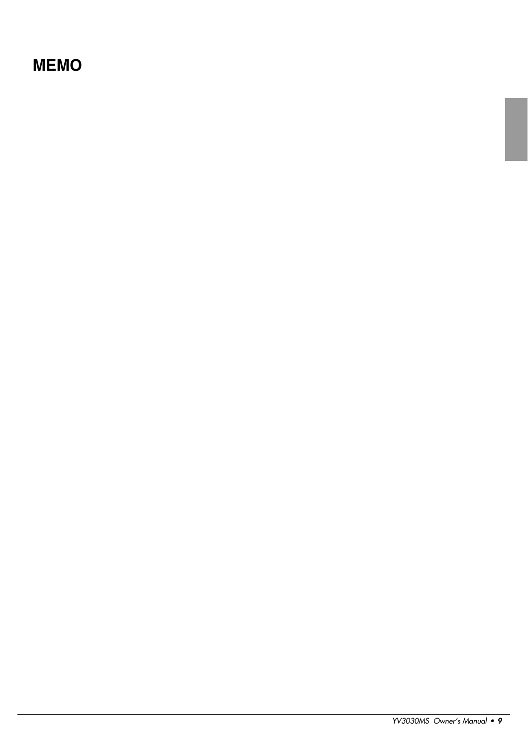### **MEMO**